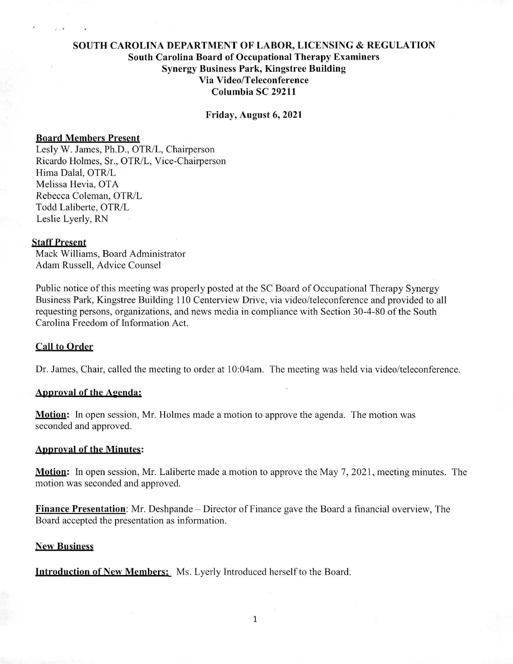# SOUTH CAROLINA DEPARTMENT OF LABOR, LICENSING & REGULATION South Carolina Board of Occupational Therapy Examiners Synergy Business Park, Kingstree Building Via Video/Teleconference Columbia SC 29211

Friday, August 6, 2021

#### Board Members Present

Lesly W. James, Ph.D., OTR/L, Chairperson Ricardo Holmes, Sr., OTR/L, Vice-Chairperson Hima Dalai, OTR/L Melissa Hevia, OTA Rebecca Coleman, OTR/L Todd Laliberte, OTR/L Leslie Lyerly, RN

### Staff Present

Mack Williams, Board Administrator Adam Russell, Advice Counsel

Public notice of this meeting was properly posted at the SC Board of Occupational Therapy Synergy Business Park, Kingstree Building 110 Centerview Drive, via video/teleconference and provided to all requesting persons, organizations, and news media in compliance with Section 30-4-80 of the South Carolina Freedom of Information Act.

### Call to Order

Dr. James, Chair, called the meeting to order at 10:04am. The meeting was held via video/teleconference.

## Approval of the Agenda:

**Motion:** In open session, Mr. Holmes made a motion to approve the agenda. The motion was seconded and approved.

## Approval of the Minutes:

Motion: In open session, Mr. Laliberte made a motion to approve the May 7, 2021, meeting minutes. The motion was seconded and approved.

Finance Presentation: Mr. Deshpande — Director of Finance gave the Board a financial overview, The Board accepted the presentation as information.

### New Business

**Introduction of New Members:** Ms. Lyerly Introduced herself to the Board.

1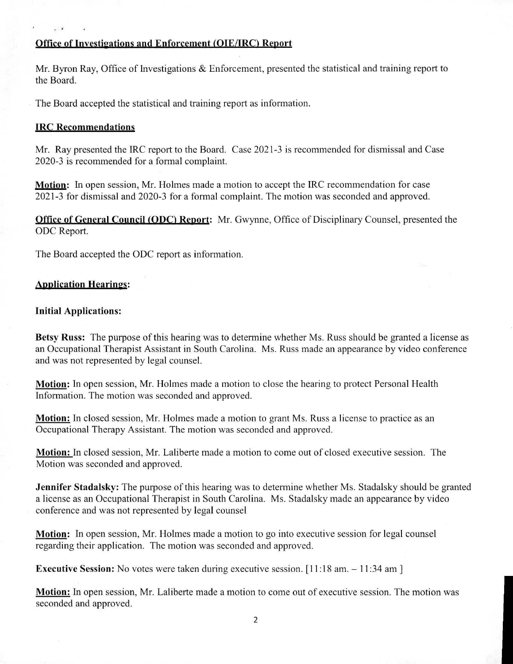# Office of Investigations and Enforcement (OIE/IRC) Report

Mr. Byron Ray, Office of Investigations & Enforcement, presented the statistical and training report to the Board.

The Board accepted the statistical and training report as information.

# **WC Recommendations**

Mr. Ray presented the IRC report to the Board. Case 2021-3 is recommended for dismissal and Case 2020-3 is recommended for a formal complaint.

Motion: In open session, Mr. Holmes made a motion to accept the IRC recommendation for case 2021-3 for dismissal and 2020-3 for a formal complaint. The motion was seconded and approved.

**Office of General Council (ODC) Report:** Mr. Gwynne, Office of Disciplinary Counsel, presented the ODC Report.

The Board accepted the ODC report as information.

# **Application Hearings:**

# **Initial Applications:**

**Betsy Russ:** The purpose of this hearing was to determine whether Ms. Russ should be granted a license as an Occupational Therapist Assistant in South Carolina. Ms. Russ made an appearance by video conference and was not represented by legal counsel.

**Motion:** In open session, Mr. Holmes made a motion to close the hearing to protect Personal Health Information. The motion was seconded and approved.

**Motion:** In closed session, Mr. Holmes made a motion to grant Ms. Russ a license to practice as an Occupational Therapy Assistant. The motion was seconded and approved.

**Motion:** In closed session, Mr. Laliberte made a motion to come out of closed executive session. The Motion was seconded and approved.

**Jennifer Stadalsky:** The purpose of this hearing was to determine whether Ms. Stadalsky should be granted a license as an Occupational Therapist in South Carolina. Ms. Stadalsky made an appearance by video conference and was not represented by legal counsel

**Motion:** In open session, Mr. Holmes made a motion to go into executive session for legal counsel regarding their application. The motion was seconded and approved.

**Executive Session:** No votes were taken during executive session. [11:18 am. - 11:34 am]

**Motion:** In open session, Mr. Laliberte made a motion to come out of executive session. The motion was seconded and approved.